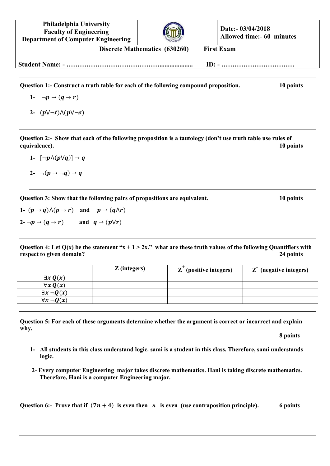**Philadelphia University Faculty of Engineering Department of Computer Engineering Date:- 03/04/2018 Allowed time:- 60 minutes Discrete Mathematics (630260) First Exam Student Name: - …………………………………….................... ID: - ……………………………**

**Question 1:- Construct a truth table for each of the following compound proposition. 10 points**

- 1-  $\neg p \rightarrow (q \rightarrow r)$
- 2-  $(p \lor \neg t) \land (p \lor \neg s)$

**Question 2:- Show that each of the following proposition is a tautology (don't use truth table use rules of equivalence). 10 points**

- 1-  $\lceil \neg p \wedge (p \lor q) \rceil \rightarrow q$
- 2-  $\neg(p \rightarrow \neg q) \rightarrow q$

**Question 3: Show that the following pairs of propositions are equivalent. 10 points**

1-  $(p \rightarrow q) \wedge (p \rightarrow r)$  and  $p \rightarrow (q \wedge r)$ 2- $\neg p \rightarrow (q \rightarrow r)$  and  $q \rightarrow (p \lor r)$ 

**Question 4: Let Q(x) be the statement "x + 1 > 2x." what are these truth values of the following Quantifiers with respect to given domain? 24 points 24 points** 

|                       | $Z$ (integers) | $\mathbf{Z}^{\mathsf{T}}$<br>(positive integers) | (negative integers) |
|-----------------------|----------------|--------------------------------------------------|---------------------|
| $\exists x \, Q(x)$   |                |                                                  |                     |
| $\forall x \, Q(x)$   |                |                                                  |                     |
| $\exists x \neg Q(x)$ |                |                                                  |                     |
| $\forall x \neg Q(x)$ |                |                                                  |                     |

**Question 5: For each of these arguments determine whether the argument is correct or incorrect and explain why.**

**8 points**

- **1- All students in this class understand logic. sami is a student in this class. Therefore, sami understands logic.**
- **2- Every computer Engineering major takes discrete mathematics. Hani is taking discrete mathematics. Therefore, Hani is a computer Engineering major.**

**Question 6:-** Prove that if  $(7n + 4)$  is even then *n* is even (use contraposition principle). 6 points